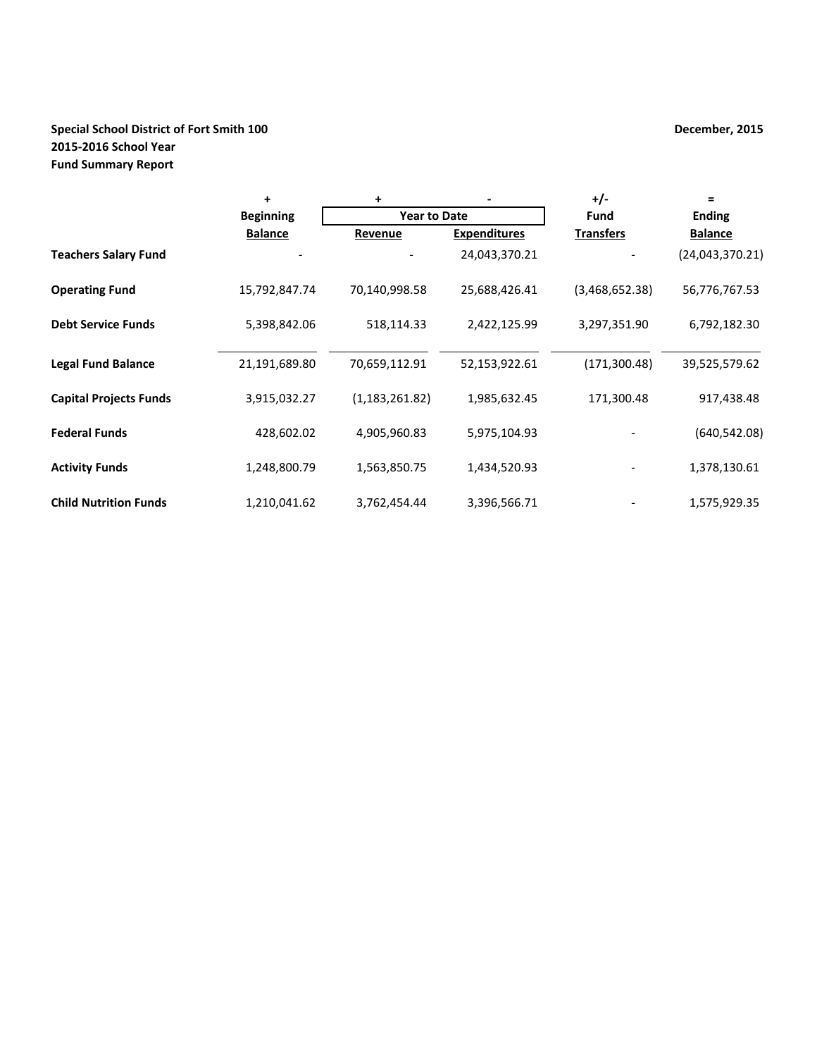# **Special School District of Fort Smith 100 December, 2015 2015-2016 School Year Fund Summary Report**

|                               | $\ddot{}$        | +                   |                     | +/-              | $\equiv$        |
|-------------------------------|------------------|---------------------|---------------------|------------------|-----------------|
|                               | <b>Beginning</b> | <b>Year to Date</b> |                     | <b>Fund</b>      | <b>Ending</b>   |
|                               | <b>Balance</b>   | Revenue             | <b>Expenditures</b> | <b>Transfers</b> | <b>Balance</b>  |
| <b>Teachers Salary Fund</b>   |                  |                     | 24,043,370.21       |                  | (24,043,370.21) |
| <b>Operating Fund</b>         | 15,792,847.74    | 70,140,998.58       | 25,688,426.41       | (3,468,652.38)   | 56,776,767.53   |
| <b>Debt Service Funds</b>     | 5,398,842.06     | 518,114.33          | 2,422,125.99        | 3,297,351.90     | 6,792,182.30    |
| <b>Legal Fund Balance</b>     | 21,191,689.80    | 70,659,112.91       | 52,153,922.61       | (171, 300.48)    | 39,525,579.62   |
| <b>Capital Projects Funds</b> | 3,915,032.27     | (1, 183, 261.82)    | 1,985,632.45        | 171,300.48       | 917,438.48      |
| <b>Federal Funds</b>          | 428,602.02       | 4,905,960.83        | 5,975,104.93        |                  | (640, 542.08)   |
| <b>Activity Funds</b>         | 1,248,800.79     | 1,563,850.75        | 1,434,520.93        |                  | 1,378,130.61    |
| <b>Child Nutrition Funds</b>  | 1,210,041.62     | 3,762,454.44        | 3,396,566.71        |                  | 1,575,929.35    |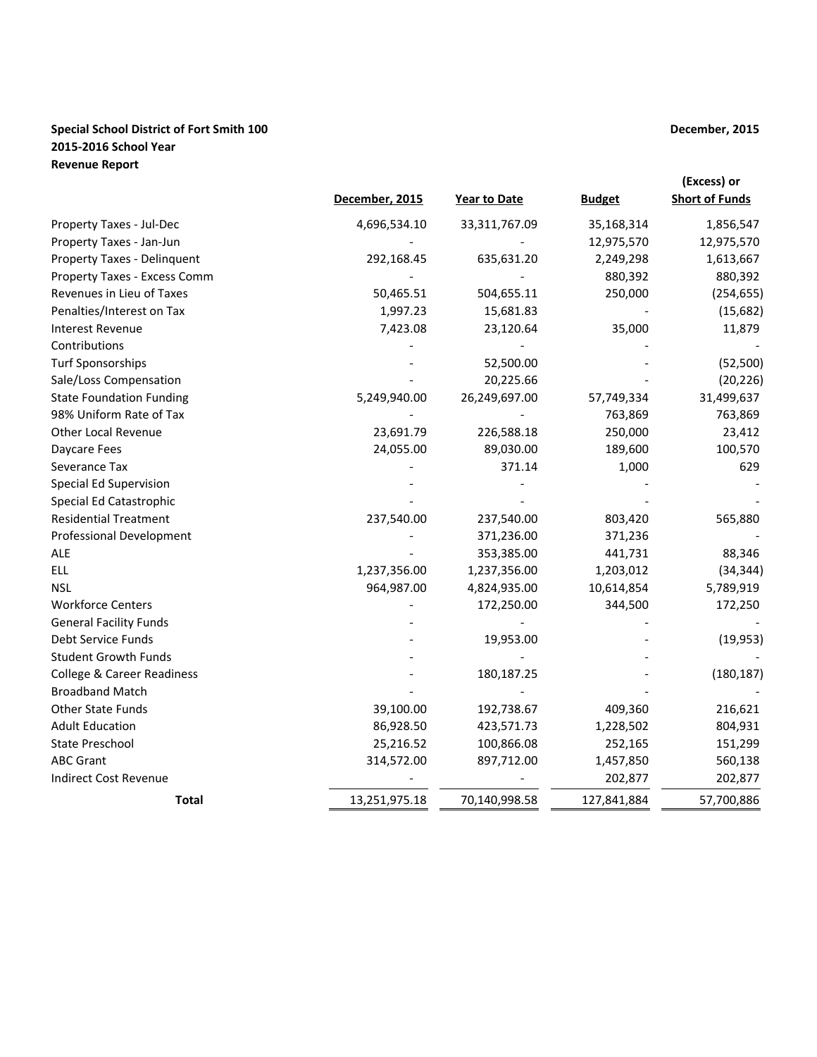### **Special School District of Fort Smith 100 December, 2015 2015-2016 School Year Revenue Report**

|                                 | December, 2015 | <b>Year to Date</b> | <b>Budget</b> | (Excess) or<br><b>Short of Funds</b> |
|---------------------------------|----------------|---------------------|---------------|--------------------------------------|
| Property Taxes - Jul-Dec        | 4,696,534.10   | 33,311,767.09       | 35,168,314    | 1,856,547                            |
| Property Taxes - Jan-Jun        |                |                     | 12,975,570    | 12,975,570                           |
| Property Taxes - Delinquent     | 292,168.45     | 635,631.20          | 2,249,298     | 1,613,667                            |
| Property Taxes - Excess Comm    |                |                     | 880,392       | 880,392                              |
| Revenues in Lieu of Taxes       | 50,465.51      | 504,655.11          | 250,000       | (254, 655)                           |
| Penalties/Interest on Tax       | 1,997.23       | 15,681.83           |               | (15,682)                             |
| <b>Interest Revenue</b>         | 7,423.08       | 23,120.64           | 35,000        | 11,879                               |
| Contributions                   |                |                     |               |                                      |
| <b>Turf Sponsorships</b>        |                | 52,500.00           |               | (52, 500)                            |
| Sale/Loss Compensation          |                | 20,225.66           |               | (20, 226)                            |
| <b>State Foundation Funding</b> | 5,249,940.00   | 26,249,697.00       | 57,749,334    | 31,499,637                           |
| 98% Uniform Rate of Tax         |                |                     | 763,869       | 763,869                              |
| <b>Other Local Revenue</b>      | 23,691.79      | 226,588.18          | 250,000       | 23,412                               |
| Daycare Fees                    | 24,055.00      | 89,030.00           | 189,600       | 100,570                              |
| Severance Tax                   |                | 371.14              | 1,000         | 629                                  |
| Special Ed Supervision          |                |                     |               |                                      |
| Special Ed Catastrophic         |                |                     |               |                                      |
| <b>Residential Treatment</b>    | 237,540.00     | 237,540.00          | 803,420       | 565,880                              |
| Professional Development        |                | 371,236.00          | 371,236       |                                      |
| <b>ALE</b>                      |                | 353,385.00          | 441,731       | 88,346                               |
| ELL                             | 1,237,356.00   | 1,237,356.00        | 1,203,012     | (34, 344)                            |
| <b>NSL</b>                      | 964,987.00     | 4,824,935.00        | 10,614,854    | 5,789,919                            |
| <b>Workforce Centers</b>        |                | 172,250.00          | 344,500       | 172,250                              |
| <b>General Facility Funds</b>   |                |                     |               |                                      |
| Debt Service Funds              |                | 19,953.00           |               | (19, 953)                            |
| <b>Student Growth Funds</b>     |                |                     |               |                                      |
| College & Career Readiness      |                | 180,187.25          |               | (180, 187)                           |
| <b>Broadband Match</b>          |                |                     |               |                                      |
| <b>Other State Funds</b>        | 39,100.00      | 192,738.67          | 409,360       | 216,621                              |
| <b>Adult Education</b>          | 86,928.50      | 423,571.73          | 1,228,502     | 804,931                              |
| <b>State Preschool</b>          | 25,216.52      | 100,866.08          | 252,165       | 151,299                              |
| <b>ABC Grant</b>                | 314,572.00     | 897,712.00          | 1,457,850     | 560,138                              |
| <b>Indirect Cost Revenue</b>    |                |                     | 202,877       | 202,877                              |
| <b>Total</b>                    | 13,251,975.18  | 70,140,998.58       | 127,841,884   | 57,700,886                           |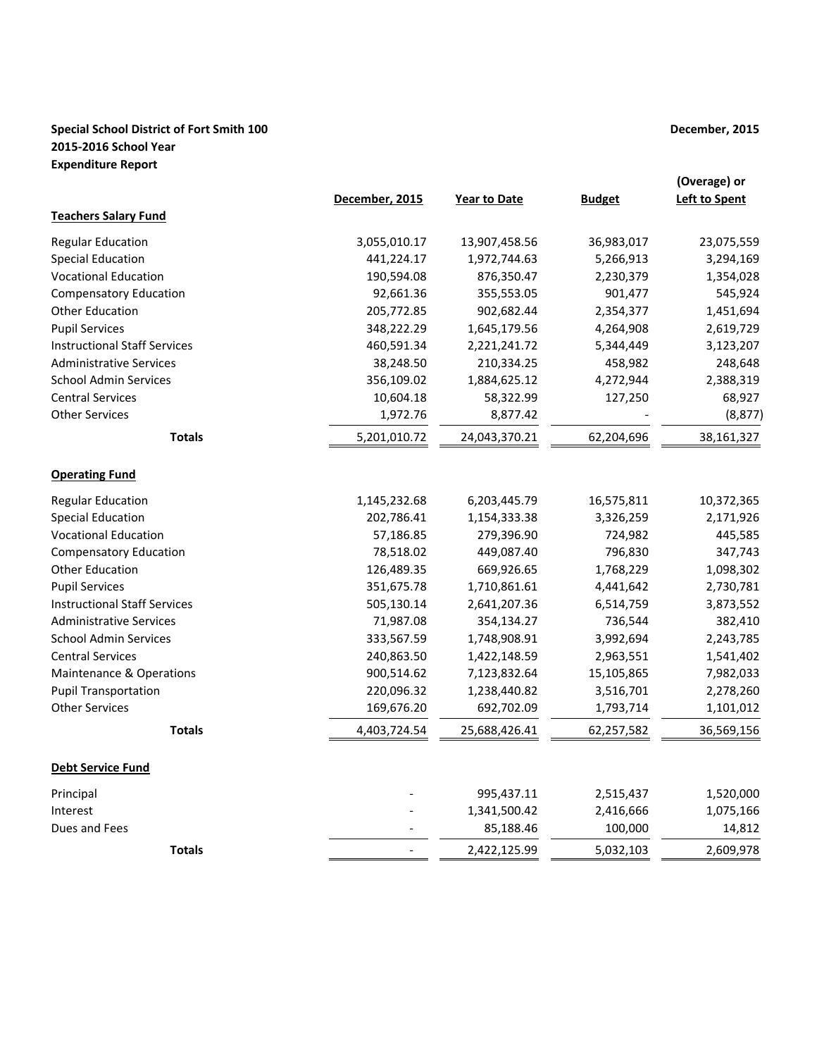## **Special School District of Fort Smith 100 December, 2015 2015-2016 School Year Expenditure Report**

|                                     |                |                     |               | (Overage) or         |
|-------------------------------------|----------------|---------------------|---------------|----------------------|
|                                     | December, 2015 | <b>Year to Date</b> | <b>Budget</b> | <b>Left to Spent</b> |
| <b>Teachers Salary Fund</b>         |                |                     |               |                      |
| <b>Regular Education</b>            | 3,055,010.17   | 13,907,458.56       | 36,983,017    | 23,075,559           |
| <b>Special Education</b>            | 441,224.17     | 1,972,744.63        | 5,266,913     | 3,294,169            |
| <b>Vocational Education</b>         | 190,594.08     | 876,350.47          | 2,230,379     | 1,354,028            |
| <b>Compensatory Education</b>       | 92,661.36      | 355,553.05          | 901,477       | 545,924              |
| <b>Other Education</b>              | 205,772.85     | 902,682.44          | 2,354,377     | 1,451,694            |
| <b>Pupil Services</b>               | 348,222.29     | 1,645,179.56        | 4,264,908     | 2,619,729            |
| <b>Instructional Staff Services</b> | 460,591.34     | 2,221,241.72        | 5,344,449     | 3,123,207            |
| <b>Administrative Services</b>      | 38,248.50      | 210,334.25          | 458,982       | 248,648              |
| <b>School Admin Services</b>        | 356,109.02     | 1,884,625.12        | 4,272,944     | 2,388,319            |
| <b>Central Services</b>             | 10,604.18      | 58,322.99           | 127,250       | 68,927               |
| <b>Other Services</b>               | 1,972.76       | 8,877.42            |               | (8, 877)             |
| <b>Totals</b>                       | 5,201,010.72   | 24,043,370.21       | 62,204,696    | 38,161,327           |
| <b>Operating Fund</b>               |                |                     |               |                      |
| <b>Regular Education</b>            | 1,145,232.68   | 6,203,445.79        | 16,575,811    | 10,372,365           |
| <b>Special Education</b>            | 202,786.41     | 1,154,333.38        | 3,326,259     | 2,171,926            |
| <b>Vocational Education</b>         | 57,186.85      | 279,396.90          | 724,982       | 445,585              |
| <b>Compensatory Education</b>       | 78,518.02      | 449,087.40          | 796,830       | 347,743              |
| <b>Other Education</b>              | 126,489.35     | 669,926.65          | 1,768,229     | 1,098,302            |
| <b>Pupil Services</b>               | 351,675.78     | 1,710,861.61        | 4,441,642     | 2,730,781            |
| <b>Instructional Staff Services</b> | 505,130.14     | 2,641,207.36        | 6,514,759     | 3,873,552            |
| <b>Administrative Services</b>      | 71,987.08      | 354,134.27          | 736,544       | 382,410              |
| <b>School Admin Services</b>        | 333,567.59     | 1,748,908.91        | 3,992,694     | 2,243,785            |
| <b>Central Services</b>             | 240,863.50     | 1,422,148.59        | 2,963,551     | 1,541,402            |
| Maintenance & Operations            | 900,514.62     | 7,123,832.64        | 15,105,865    | 7,982,033            |
| <b>Pupil Transportation</b>         | 220,096.32     | 1,238,440.82        | 3,516,701     | 2,278,260            |
| <b>Other Services</b>               | 169,676.20     | 692,702.09          | 1,793,714     | 1,101,012            |
| <b>Totals</b>                       | 4,403,724.54   | 25,688,426.41       | 62,257,582    | 36,569,156           |
| <b>Debt Service Fund</b>            |                |                     |               |                      |
| Principal                           |                | 995,437.11          | 2,515,437     | 1,520,000            |
| Interest                            |                | 1,341,500.42        | 2,416,666     | 1,075,166            |
| Dues and Fees                       |                | 85,188.46           | 100,000       | 14,812               |
| <b>Totals</b>                       |                | 2,422,125.99        | 5,032,103     | 2,609,978            |
|                                     |                |                     |               |                      |